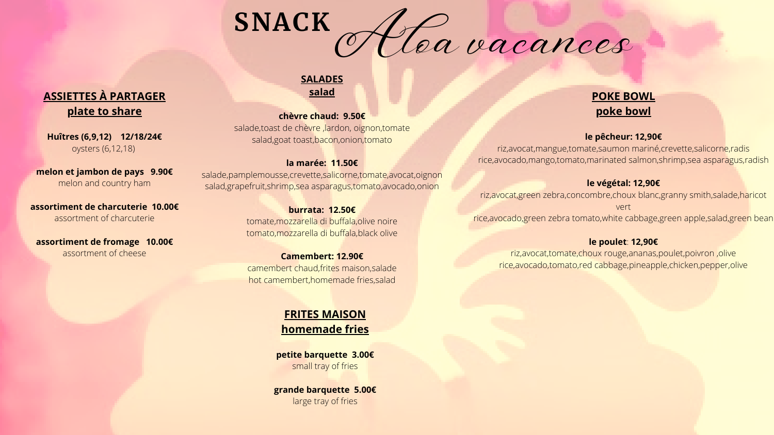# **POKE BOWL poke bowl**

### **le pêcheur: 12,90€**

riz,avocat,mangue,tomate,saumon mariné,crevette,salicorne,radis rice,avocado,mango,tomato,marinated salmon,shrimp,sea asparagus,radish

# **le végétal: 12,90€**

riz,avocat,green zebra,concombre,choux blanc,granny smith,salade,haricot vert

salade,toast de chèvre ,lardon, oignon,tomate salad,goat toast,bacon,onion,tomato

rice,avocado,green zebra tomato,white cabbage,green apple,salad,green bean

# **le poulet**: **12,90€**

riz,avocat,tomate,choux rouge,ananas,poulet,poivron ,olive rice,avocado,tomato,red cabbage,pineapple,chicken,pepper,olive

# **SALADES salad**

### **chèvre chaud: 9.50€**



# **la marée: 11.50€**

salade,pamplemousse,crevette,salicorne,tomate,avocat,oignon salad,grapefruit,shrimp,sea asparagus,tomato,avocado,onion

### **burrata: 12.50€**

tomate,mozzarella di buffala,olive noire tomato,mozzarella di buffala,black olive

# **Camembert: 12.90€**

camembert chaud,frites maison,salade hot camembert,homemade fries,salad

# **FRITES MAISON homemade fries**

**petite barquette 3.00€** small tray of fries

**grande barquette 5.00€** large tray of fries

# **ASSIETTES À PARTAGER plate to share**

**Huîtres (6,9,12) 12/18/24€** oysters (6,12,18)

**melon et jambon de pays 9.90€** melon and country ham

**assortiment de charcuterie 10.00€** assortment of charcuterie

**assortiment de fromage 10.00€** assortment of cheese